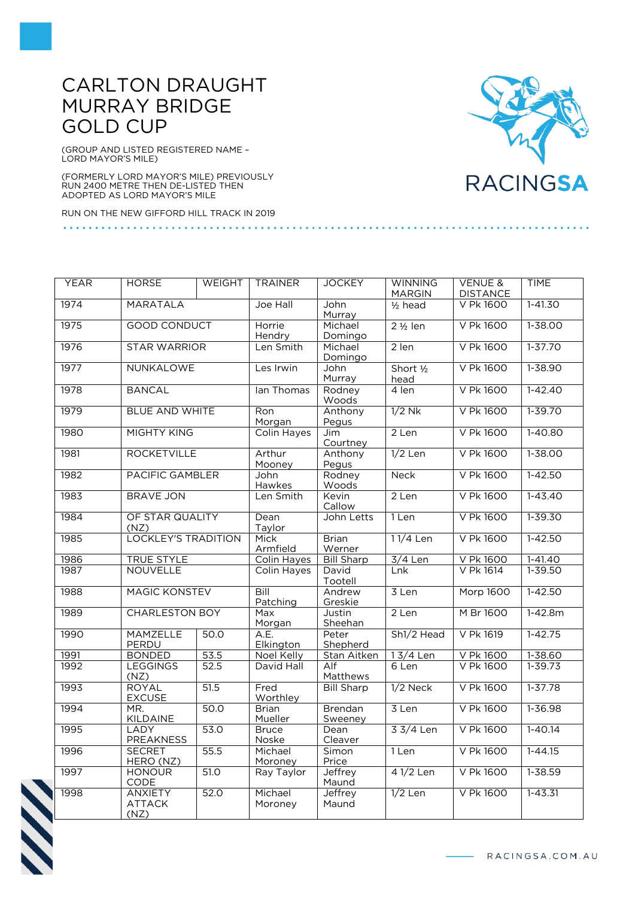## CARLTON DRAUGHT MURRAY BRIDGE GOLD CUP

(GROUP AND LISTED REGISTERED NAME – LORD MAYOR'S MILE)

(FORMERLY LORD MAYOR'S MILE) PREVIOUSLY RUN 2400 METRE THEN DE-LISTED THEN ADOPTED AS LORD MAYOR'S MILE

RUN ON THE NEW GIFFORD HILL TRACK IN 2019



| <b>YEAR</b> | <b>HORSE</b>                            | <b>WEIGHT</b> | <b>TRAINER</b>          | <b>JOCKEY</b>             | <b>WINNING</b>              | <b>VENUE &amp;</b> | <b>TIME</b> |
|-------------|-----------------------------------------|---------------|-------------------------|---------------------------|-----------------------------|--------------------|-------------|
|             |                                         |               |                         |                           | <b>MARGIN</b>               | <b>DISTANCE</b>    |             |
| 1974        | <b>MARATALA</b>                         |               | Joe Hall                | John<br>Murray            | $1/2$ head                  | V Pk 1600          | $1 - 41.30$ |
| 1975        | <b>GOOD CONDUCT</b>                     |               | Horrie<br>Hendry        | Michael<br>Domingo        | $2\frac{1}{2}$ len          | V Pk 1600          | 1-38.00     |
| 1976        | <b>STAR WARRIOR</b>                     |               | Len Smith               | Michael<br>Domingo        | 2 len                       | V Pk 1600          | $1 - 37.70$ |
| 1977        | <b>NUNKALOWE</b>                        |               | Les Irwin               | John<br>Murray            | Short $\frac{1}{2}$<br>head | V Pk 1600          | $1 - 38.90$ |
| 1978        | <b>BANCAL</b>                           |               | lan Thomas              | Rodney<br>Woods           | 4 len                       | V Pk 1600          | $1 - 42.40$ |
| 1979        | <b>BLUE AND WHITE</b>                   |               | Ron<br>Morgan           | Anthony<br>Pegus          | $1/2$ Nk                    | V Pk 1600          | $1 - 39.70$ |
| 1980        | <b>MIGHTY KING</b>                      |               | Colin Hayes             | <b>Jim</b><br>Courtney    | 2 Len                       | V Pk 1600          | $1 - 40.80$ |
| 1981        | <b>ROCKETVILLE</b>                      |               | Arthur<br>Mooney        | Anthony<br>Pegus          | $1/2$ Len                   | V Pk 1600          | 1-38.00     |
| 1982        | <b>PACIFIC GAMBLER</b>                  |               | John<br>Hawkes          | Rodney<br>Woods           | <b>Neck</b>                 | V Pk 1600          | $1 - 42.50$ |
| 1983        | <b>BRAVE JON</b>                        |               | Len Smith               | Kevin<br>Callow           | 2 Len                       | V Pk 1600          | $1 - 43.40$ |
| 1984        | OF STAR QUALITY<br>(NZ)                 |               | Dean<br>Taylor          | John Letts                | 1 Len                       | V Pk 1600          | $1 - 39.30$ |
| 1985        | <b>LOCKLEY'S TRADITION</b>              |               | Mick<br>Armfield        | <b>Brian</b><br>Werner    | 11/4 Len                    | V Pk 1600          | $1 - 42.50$ |
| 1986        | <b>TRUE STYLE</b>                       |               | Colin Hayes             | <b>Bill Sharp</b>         | $3/4$ Len                   | V Pk 1600          | $1-41.40$   |
| 1987        | <b>NOUVELLE</b>                         |               | Colin Hayes             | David<br>Tootell          | Lnk                         | V Pk 1614          | $1 - 39.50$ |
| 1988        | <b>MAGIC KONSTEV</b>                    |               | Bill<br>Patching        | Andrew<br>Greskie         | 3 Len                       | <b>Morp 1600</b>   | $1 - 42.50$ |
| 1989        | <b>CHARLESTON BOY</b>                   |               | Max<br>Morgan           | Justin<br>Sheehan         | 2 Len                       | M Br 1600          | $1 - 42.8m$ |
| 1990        | MAMZELLE<br>PERDU                       | 50.0          | A.E.<br>Elkington       | Peter<br>Shepherd         | Sh1/2 Head                  | V Pk 1619          | $1 - 42.75$ |
| 1991        | <b>BONDED</b>                           | 53.5          | Noel Kelly              | Stan Aitken               | $13/4$ Len                  | V Pk 1600          | $1 - 38.60$ |
| 1992        | <b>LEGGINGS</b><br>(NZ)                 | 52.5          | David Hall              | Alf<br>Matthews           | 6 Len                       | V Pk 1600          | $1 - 39.73$ |
| 1993        | <b>ROYAL</b><br><b>EXCUSE</b>           | 51.5          | Fred<br>Worthley        | <b>Bill Sharp</b>         | $1/2$ Neck                  | V Pk 1600          | $1 - 37.78$ |
| 1994        | MR.<br>KILDAINE                         | 50.0          | <b>Brian</b><br>Mueller | <b>Brendan</b><br>Sweeney | 3 Len                       | V Pk 1600          | $1 - 36.98$ |
| 1995        | <b>LADY</b><br>PREAKNESS                | 53.0          | <b>Bruce</b><br>Noske   | Dean<br>Cleaver           | 3 3/4 Len                   | V Pk 1600          | $1 - 40.14$ |
| 1996        | <b>SECRET</b><br>HERO (NZ)              | 55.5          | Michael<br>Moroney      | Simon<br>Price            | 1 Len                       | V Pk 1600          | $1 - 44.15$ |
| 1997        | <b>HONOUR</b><br>CODE                   | 51.0          | Ray Taylor              | Jeffrey<br>Maund          | 41/2 Len                    | V Pk 1600          | $1 - 38.59$ |
| 1998        | <b>ANXIETY</b><br><b>ATTACK</b><br>(NZ) | 52.0          | Michael<br>Moroney      | Jeffrey<br>Maund          | $1/2$ Len                   | V Pk 1600          | $1 - 43.31$ |



- RACINGSA.COM.AU